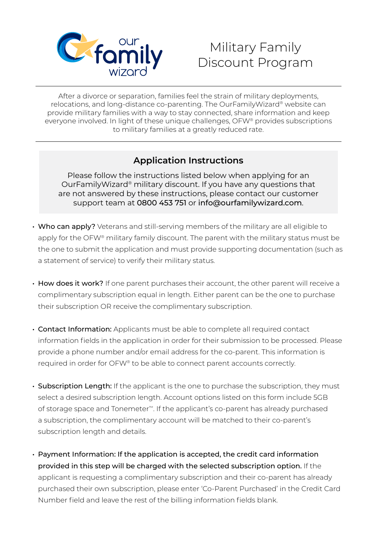

## Military Family Discount Program

After a divorce or separation, families feel the strain of military deployments, relocations, and long-distance co-parenting. The OurFamilyWizard® website can provide military families with a way to stay connected, share information and keep everyone involved. In light of these unique challenges, OFW® provides subscriptions to military families at a greatly reduced rate.

## **Application Instructions**

Please follow the instructions listed below when applying for an OurFamilyWizard® military discount. If you have any questions that are not answered by these instructions, please contact our customer support team at 0800 453 751 or info@ourfamilywizard.com.

- Who can apply? Veterans and still-serving members of the military are all eligible to apply for the OFW® military family discount. The parent with the military status must be the one to submit the application and must provide supporting documentation (such as a statement of service) to verify their military status.
- How does it work? If one parent purchases their account, the other parent will receive a complimentary subscription equal in length. Either parent can be the one to purchase their subscription OR receive the complimentary subscription.
- Contact Information: Applicants must be able to complete all required contact information fields in the application in order for their submission to be processed. Please provide a phone number and/or email address for the co-parent. This information is required in order for OFW® to be able to connect parent accounts correctly.
- Subscription Length: If the applicant is the one to purchase the subscription, they must select a desired subscription length. Account options listed on this form include 5GB of storage space and Tonemeter™. If the applicant's co-parent has already purchased a subscription, the complimentary account will be matched to their co-parent's subscription length and details.
- Payment Information: If the application is accepted, the credit card information provided in this step will be charged with the selected subscription option. If the applicant is requesting a complimentary subscription and their co-parent has already purchased their own subscription, please enter 'Co-Parent Purchased' in the Credit Card Number field and leave the rest of the billing information fields blank.